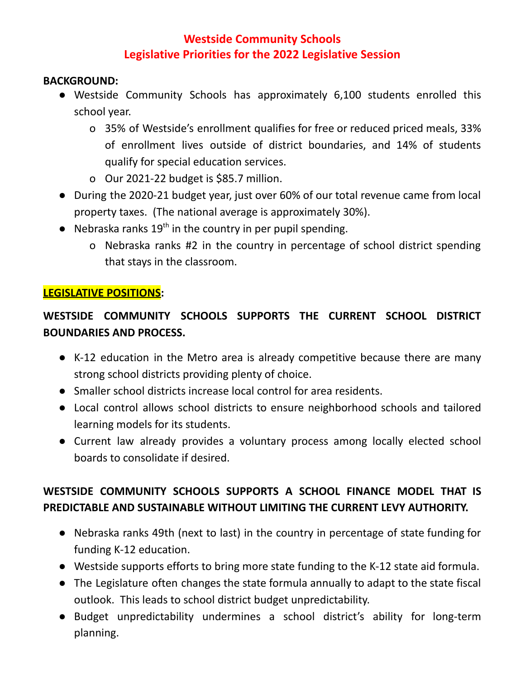### **Westside Community Schools Legislative Priorities for the 2022 Legislative Session**

#### **BACKGROUND:**

- Westside Community Schools has approximately 6,100 students enrolled this school year.
	- o 35% of Westside's enrollment qualifies for free or reduced priced meals, 33% of enrollment lives outside of district boundaries, and 14% of students qualify for special education services.
	- o Our 2021-22 budget is \$85.7 million.
- During the 2020-21 budget year, just over 60% of our total revenue came from local property taxes. (The national average is approximately 30%).
- $\bullet$  Nebraska ranks 19<sup>th</sup> in the country in per pupil spending.
	- o Nebraska ranks #2 in the country in percentage of school district spending that stays in the classroom.

### **LEGISLATIVE POSITIONS:**

# **WESTSIDE COMMUNITY SCHOOLS SUPPORTS THE CURRENT SCHOOL DISTRICT BOUNDARIES AND PROCESS.**

- K-12 education in the Metro area is already competitive because there are many strong school districts providing plenty of choice.
- Smaller school districts increase local control for area residents.
- Local control allows school districts to ensure neighborhood schools and tailored learning models for its students.
- Current law already provides a voluntary process among locally elected school boards to consolidate if desired.

# **WESTSIDE COMMUNITY SCHOOLS SUPPORTS A SCHOOL FINANCE MODEL THAT IS PREDICTABLE AND SUSTAINABLE WITHOUT LIMITING THE CURRENT LEVY AUTHORITY.**

- Nebraska ranks 49th (next to last) in the country in percentage of state funding for funding K-12 education.
- Westside supports efforts to bring more state funding to the K-12 state aid formula.
- The Legislature often changes the state formula annually to adapt to the state fiscal outlook. This leads to school district budget unpredictability.
- Budget unpredictability undermines a school district's ability for long-term planning.